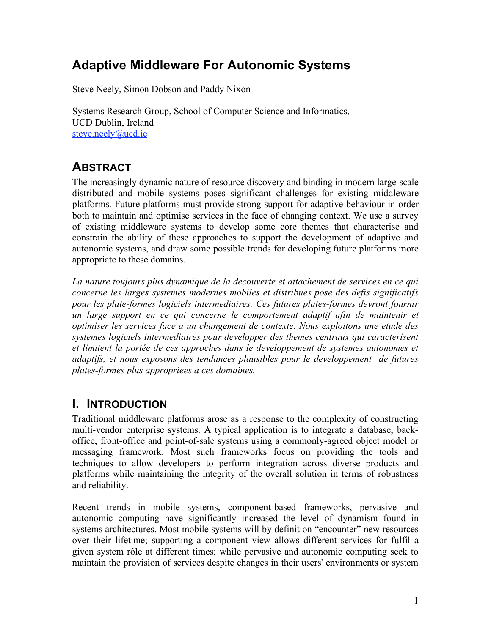# **Adaptive Middleware For Autonomic Systems**

Steve Neely, Simon Dobson and Paddy Nixon

Systems Research Group, School of Computer Science and Informatics, UCD Dublin, Ireland steve.neely@ucd.ie

# **ABSTRACT**

The increasingly dynamic nature of resource discovery and binding in modern large-scale distributed and mobile systems poses significant challenges for existing middleware platforms. Future platforms must provide strong support for adaptive behaviour in order both to maintain and optimise services in the face of changing context. We use a survey of existing middleware systems to develop some core themes that characterise and constrain the ability of these approaches to support the development of adaptive and autonomic systems, and draw some possible trends for developing future platforms more appropriate to these domains.

*La nature toujours plus dynamique de la decouverte et attachement de services en ce qui concerne les larges systemes modernes mobiles et distribues pose des defis significatifs pour les plate-formes logiciels intermediaires. Ces futures plates-formes devront fournir un large support en ce qui concerne le comportement adaptif afin de maintenir et optimiser les services face a un changement de contexte. Nous exploitons une etude des systemes logiciels intermediaires pour developper des themes centraux qui caracterisent et limitent la portée de ces approches dans le developpement de systemes autonomes et adaptifs, et nous exposons des tendances plausibles pour le developpement de futures plates-formes plus appropriees a ces domaines.*

# **I. INTRODUCTION**

Traditional middleware platforms arose as a response to the complexity of constructing multi-vendor enterprise systems. A typical application is to integrate a database, backoffice, front-office and point-of-sale systems using a commonly-agreed object model or messaging framework. Most such frameworks focus on providing the tools and techniques to allow developers to perform integration across diverse products and platforms while maintaining the integrity of the overall solution in terms of robustness and reliability.

Recent trends in mobile systems, component-based frameworks, pervasive and autonomic computing have significantly increased the level of dynamism found in systems architectures. Most mobile systems will by definition "encounter" new resources over their lifetime; supporting a component view allows different services for fulfil a given system rôle at different times; while pervasive and autonomic computing seek to maintain the provision of services despite changes in their users' environments or system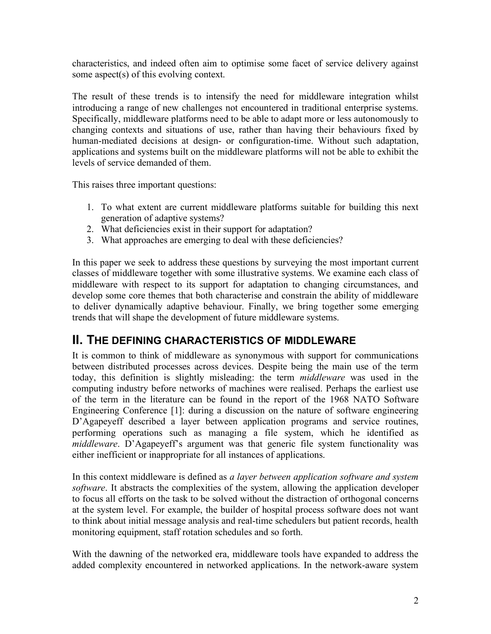characteristics, and indeed often aim to optimise some facet of service delivery against some aspect(s) of this evolving context.

The result of these trends is to intensify the need for middleware integration whilst introducing a range of new challenges not encountered in traditional enterprise systems. Specifically, middleware platforms need to be able to adapt more or less autonomously to changing contexts and situations of use, rather than having their behaviours fixed by human-mediated decisions at design- or configuration-time. Without such adaptation, applications and systems built on the middleware platforms will not be able to exhibit the levels of service demanded of them.

This raises three important questions:

- 1. To what extent are current middleware platforms suitable for building this next generation of adaptive systems?
- 2. What deficiencies exist in their support for adaptation?
- 3. What approaches are emerging to deal with these deficiencies?

In this paper we seek to address these questions by surveying the most important current classes of middleware together with some illustrative systems. We examine each class of middleware with respect to its support for adaptation to changing circumstances, and develop some core themes that both characterise and constrain the ability of middleware to deliver dynamically adaptive behaviour. Finally, we bring together some emerging trends that will shape the development of future middleware systems.

# **II. THE DEFINING CHARACTERISTICS OF MIDDLEWARE**

It is common to think of middleware as synonymous with support for communications between distributed processes across devices. Despite being the main use of the term today, this definition is slightly misleading: the term *middleware* was used in the computing industry before networks of machines were realised. Perhaps the earliest use of the term in the literature can be found in the report of the 1968 NATO Software Engineering Conference [1]: during a discussion on the nature of software engineering D'Agapeyeff described a layer between application programs and service routines, performing operations such as managing a file system, which he identified as *middleware*. D'Agapeyeff's argument was that generic file system functionality was either inefficient or inappropriate for all instances of applications.

In this context middleware is defined as *a layer between application software and system software*. It abstracts the complexities of the system, allowing the application developer to focus all efforts on the task to be solved without the distraction of orthogonal concerns at the system level. For example, the builder of hospital process software does not want to think about initial message analysis and real-time schedulers but patient records, health monitoring equipment, staff rotation schedules and so forth.

With the dawning of the networked era, middleware tools have expanded to address the added complexity encountered in networked applications. In the network-aware system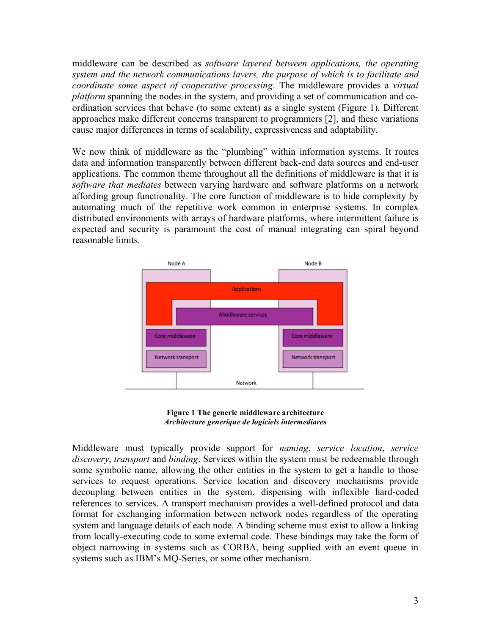middleware can be described as *software layered between applications, the operating system and the network communications layers, the purpose of which is to facilitate and coordinate some aspect of cooperative processing*. The middleware provides a *virtual platform* spanning the nodes in the system, and providing a set of communication and coordination services that behave (to some extent) as a single system (Figure 1). Different approaches make different concerns transparent to programmers [2], and these variations cause major differences in terms of scalability, expressiveness and adaptability.

We now think of middleware as the "plumbing" within information systems. It routes data and information transparently between different back-end data sources and end-user applications. The common theme throughout all the definitions of middleware is that it is *software that mediates* between varying hardware and software platforms on a network affording group functionality. The core function of middleware is to hide complexity by automating much of the repetitive work common in enterprise systems. In complex distributed environments with arrays of hardware platforms, where intermittent failure is expected and security is paramount the cost of manual integrating can spiral beyond reasonable limits.



**Figure 1 The generic middleware architecture** *Architecture generique de logiciels intermediares*

Middleware must typically provide support for *naming*, *service location*, *service discovery*, *transport* and *binding*. Services within the system must be redeemable through some symbolic name, allowing the other entities in the system to get a handle to those services to request operations. Service location and discovery mechanisms provide decoupling between entities in the system, dispensing with inflexible hard-coded references to services. A transport mechanism provides a well-defined protocol and data format for exchanging information between network nodes regardless of the operating system and language details of each node. A binding scheme must exist to allow a linking from locally-executing code to some external code. These bindings may take the form of object narrowing in systems such as CORBA, being supplied with an event queue in systems such as IBM's MQ-Series, or some other mechanism.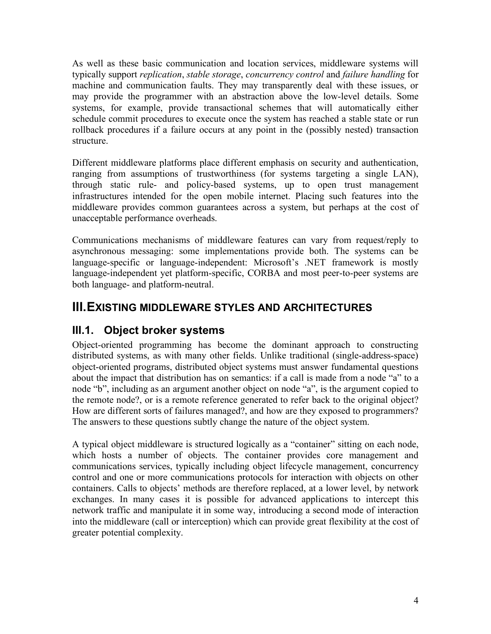As well as these basic communication and location services, middleware systems will typically support *replication*, *stable storage*, *concurrency control* and *failure handling* for machine and communication faults. They may transparently deal with these issues, or may provide the programmer with an abstraction above the low-level details. Some systems, for example, provide transactional schemes that will automatically either schedule commit procedures to execute once the system has reached a stable state or run rollback procedures if a failure occurs at any point in the (possibly nested) transaction structure.

Different middleware platforms place different emphasis on security and authentication, ranging from assumptions of trustworthiness (for systems targeting a single LAN), through static rule- and policy-based systems, up to open trust management infrastructures intended for the open mobile internet. Placing such features into the middleware provides common guarantees across a system, but perhaps at the cost of unacceptable performance overheads.

Communications mechanisms of middleware features can vary from request/reply to asynchronous messaging: some implementations provide both. The systems can be language-specific or language-independent: Microsoft's .NET framework is mostly language-independent yet platform-specific, CORBA and most peer-to-peer systems are both language- and platform-neutral.

# **III.EXISTING MIDDLEWARE STYLES AND ARCHITECTURES**

# **III.1. Object broker systems**

Object-oriented programming has become the dominant approach to constructing distributed systems, as with many other fields. Unlike traditional (single-address-space) object-oriented programs, distributed object systems must answer fundamental questions about the impact that distribution has on semantics: if a call is made from a node "a" to a node "b", including as an argument another object on node "a", is the argument copied to the remote node?, or is a remote reference generated to refer back to the original object? How are different sorts of failures managed?, and how are they exposed to programmers? The answers to these questions subtly change the nature of the object system.

A typical object middleware is structured logically as a "container" sitting on each node, which hosts a number of objects. The container provides core management and communications services, typically including object lifecycle management, concurrency control and one or more communications protocols for interaction with objects on other containers. Calls to objects' methods are therefore replaced, at a lower level, by network exchanges. In many cases it is possible for advanced applications to intercept this network traffic and manipulate it in some way, introducing a second mode of interaction into the middleware (call or interception) which can provide great flexibility at the cost of greater potential complexity.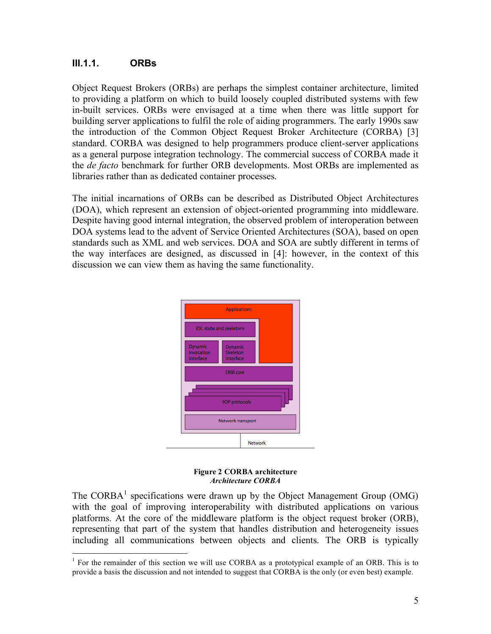#### **III.1.1. ORBs**

Object Request Brokers (ORBs) are perhaps the simplest container architecture, limited to providing a platform on which to build loosely coupled distributed systems with few in-built services. ORBs were envisaged at a time when there was little support for building server applications to fulfil the role of aiding programmers. The early 1990s saw the introduction of the Common Object Request Broker Architecture (CORBA) [3] standard. CORBA was designed to help programmers produce client-server applications as a general purpose integration technology. The commercial success of CORBA made it the *de facto* benchmark for further ORB developments. Most ORBs are implemented as libraries rather than as dedicated container processes.

The initial incarnations of ORBs can be described as Distributed Object Architectures (DOA), which represent an extension of object-oriented programming into middleware. Despite having good internal integration, the observed problem of interoperation between DOA systems lead to the advent of Service Oriented Architectures (SOA), based on open standards such as XML and web services. DOA and SOA are subtly different in terms of the way interfaces are designed, as discussed in [4]: however, in the context of this discussion we can view them as having the same functionality.



**Figure 2 CORBA architecture** *Architecture CORBA*

The CORBA<sup>1</sup> specifications were drawn up by the Object Management Group (OMG) with the goal of improving interoperability with distributed applications on various platforms. At the core of the middleware platform is the object request broker (ORB), representing that part of the system that handles distribution and heterogeneity issues including all communications between objects and clients. The ORB is typically

<sup>&</sup>lt;sup>1</sup> For the remainder of this section we will use CORBA as a prototypical example of an ORB. This is to provide a basis the discussion and not intended to suggest that CORBA is the only (or even best) example.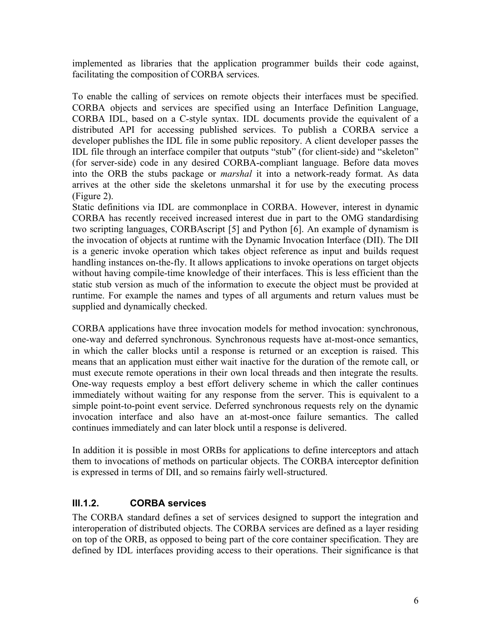implemented as libraries that the application programmer builds their code against, facilitating the composition of CORBA services.

To enable the calling of services on remote objects their interfaces must be specified. CORBA objects and services are specified using an Interface Definition Language, CORBA IDL, based on a C-style syntax. IDL documents provide the equivalent of a distributed API for accessing published services. To publish a CORBA service a developer publishes the IDL file in some public repository. A client developer passes the IDL file through an interface compiler that outputs "stub" (for client-side) and "skeleton" (for server-side) code in any desired CORBA-compliant language. Before data moves into the ORB the stubs package or *marshal* it into a network-ready format. As data arrives at the other side the skeletons unmarshal it for use by the executing process (Figure 2).

Static definitions via IDL are commonplace in CORBA. However, interest in dynamic CORBA has recently received increased interest due in part to the OMG standardising two scripting languages, CORBAscript [5] and Python [6]. An example of dynamism is the invocation of objects at runtime with the Dynamic Invocation Interface (DII). The DII is a generic invoke operation which takes object reference as input and builds request handling instances on-the-fly. It allows applications to invoke operations on target objects without having compile-time knowledge of their interfaces. This is less efficient than the static stub version as much of the information to execute the object must be provided at runtime. For example the names and types of all arguments and return values must be supplied and dynamically checked.

CORBA applications have three invocation models for method invocation: synchronous, one-way and deferred synchronous. Synchronous requests have at-most-once semantics, in which the caller blocks until a response is returned or an exception is raised. This means that an application must either wait inactive for the duration of the remote call, or must execute remote operations in their own local threads and then integrate the results. One-way requests employ a best effort delivery scheme in which the caller continues immediately without waiting for any response from the server. This is equivalent to a simple point-to-point event service. Deferred synchronous requests rely on the dynamic invocation interface and also have an at-most-once failure semantics. The called continues immediately and can later block until a response is delivered.

In addition it is possible in most ORBs for applications to define interceptors and attach them to invocations of methods on particular objects. The CORBA interceptor definition is expressed in terms of DII, and so remains fairly well-structured.

#### **III.1.2. CORBA services**

The CORBA standard defines a set of services designed to support the integration and interoperation of distributed objects. The CORBA services are defined as a layer residing on top of the ORB, as opposed to being part of the core container specification. They are defined by IDL interfaces providing access to their operations. Their significance is that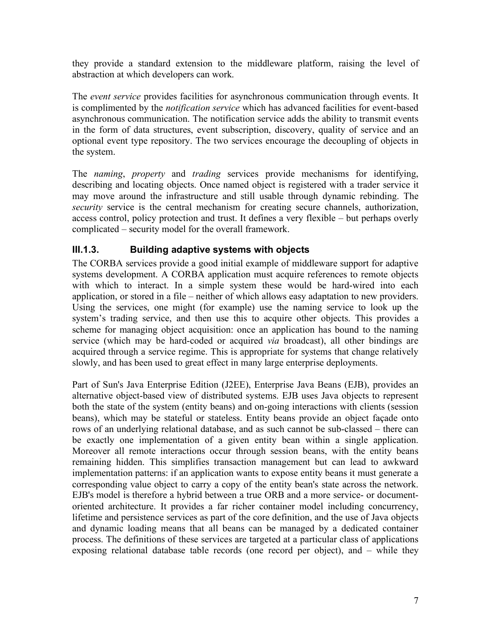they provide a standard extension to the middleware platform, raising the level of abstraction at which developers can work.

The *event service* provides facilities for asynchronous communication through events. It is complimented by the *notification service* which has advanced facilities for event-based asynchronous communication. The notification service adds the ability to transmit events in the form of data structures, event subscription, discovery, quality of service and an optional event type repository. The two services encourage the decoupling of objects in the system.

The *naming*, *property* and *trading* services provide mechanisms for identifying, describing and locating objects. Once named object is registered with a trader service it may move around the infrastructure and still usable through dynamic rebinding. The *security* service is the central mechanism for creating secure channels, authorization, access control, policy protection and trust. It defines a very flexible – but perhaps overly complicated – security model for the overall framework.

#### **III.1.3. Building adaptive systems with objects**

The CORBA services provide a good initial example of middleware support for adaptive systems development. A CORBA application must acquire references to remote objects with which to interact. In a simple system these would be hard-wired into each application, or stored in a file – neither of which allows easy adaptation to new providers. Using the services, one might (for example) use the naming service to look up the system's trading service, and then use this to acquire other objects. This provides a scheme for managing object acquisition: once an application has bound to the naming service (which may be hard-coded or acquired *via* broadcast), all other bindings are acquired through a service regime. This is appropriate for systems that change relatively slowly, and has been used to great effect in many large enterprise deployments.

Part of Sun's Java Enterprise Edition (J2EE), Enterprise Java Beans (EJB), provides an alternative object-based view of distributed systems. EJB uses Java objects to represent both the state of the system (entity beans) and on-going interactions with clients (session beans), which may be stateful or stateless. Entity beans provide an object façade onto rows of an underlying relational database, and as such cannot be sub-classed – there can be exactly one implementation of a given entity bean within a single application. Moreover all remote interactions occur through session beans, with the entity beans remaining hidden. This simplifies transaction management but can lead to awkward implementation patterns: if an application wants to expose entity beans it must generate a corresponding value object to carry a copy of the entity bean's state across the network. EJB's model is therefore a hybrid between a true ORB and a more service- or documentoriented architecture. It provides a far richer container model including concurrency, lifetime and persistence services as part of the core definition, and the use of Java objects and dynamic loading means that all beans can be managed by a dedicated container process. The definitions of these services are targeted at a particular class of applications exposing relational database table records (one record per object), and – while they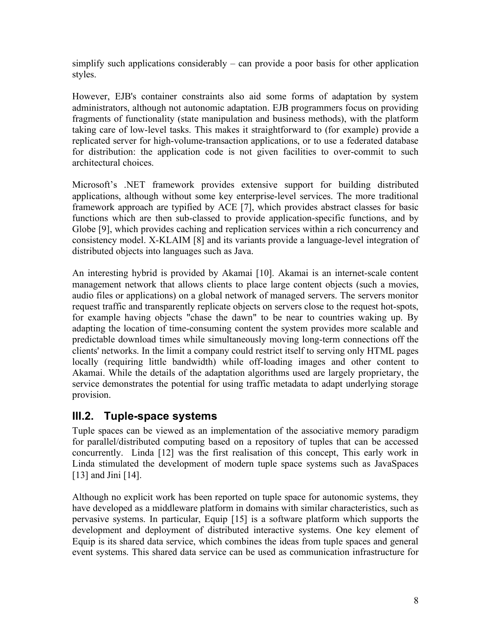simplify such applications considerably – can provide a poor basis for other application styles.

However, EJB's container constraints also aid some forms of adaptation by system administrators, although not autonomic adaptation. EJB programmers focus on providing fragments of functionality (state manipulation and business methods), with the platform taking care of low-level tasks. This makes it straightforward to (for example) provide a replicated server for high-volume-transaction applications, or to use a federated database for distribution: the application code is not given facilities to over-commit to such architectural choices.

Microsoft's .NET framework provides extensive support for building distributed applications, although without some key enterprise-level services. The more traditional framework approach are typified by ACE [7], which provides abstract classes for basic functions which are then sub-classed to provide application-specific functions, and by Globe [9], which provides caching and replication services within a rich concurrency and consistency model. X-KLAIM [8] and its variants provide a language-level integration of distributed objects into languages such as Java.

An interesting hybrid is provided by Akamai [10]. Akamai is an internet-scale content management network that allows clients to place large content objects (such a movies, audio files or applications) on a global network of managed servers. The servers monitor request traffic and transparently replicate objects on servers close to the request hot-spots, for example having objects "chase the dawn" to be near to countries waking up. By adapting the location of time-consuming content the system provides more scalable and predictable download times while simultaneously moving long-term connections off the clients' networks. In the limit a company could restrict itself to serving only HTML pages locally (requiring little bandwidth) while off-loading images and other content to Akamai. While the details of the adaptation algorithms used are largely proprietary, the service demonstrates the potential for using traffic metadata to adapt underlying storage provision.

### **III.2. Tuple-space systems**

Tuple spaces can be viewed as an implementation of the associative memory paradigm for parallel/distributed computing based on a repository of tuples that can be accessed concurrently. Linda [12] was the first realisation of this concept, This early work in Linda stimulated the development of modern tuple space systems such as JavaSpaces [13] and Jini [14].

Although no explicit work has been reported on tuple space for autonomic systems, they have developed as a middleware platform in domains with similar characteristics, such as pervasive systems. In particular, Equip [15] is a software platform which supports the development and deployment of distributed interactive systems. One key element of Equip is its shared data service, which combines the ideas from tuple spaces and general event systems. This shared data service can be used as communication infrastructure for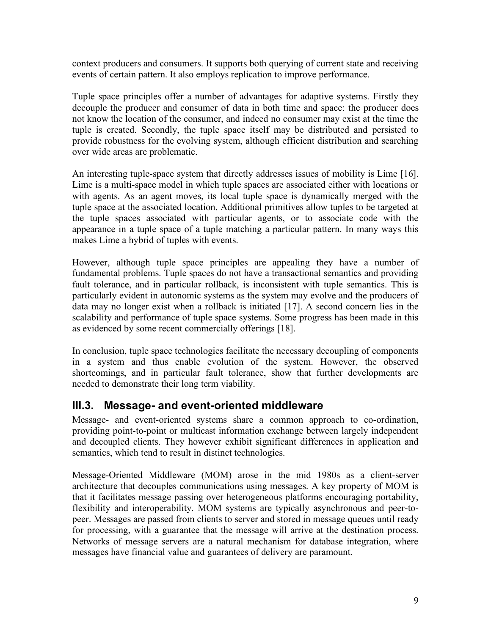context producers and consumers. It supports both querying of current state and receiving events of certain pattern. It also employs replication to improve performance.

Tuple space principles offer a number of advantages for adaptive systems. Firstly they decouple the producer and consumer of data in both time and space: the producer does not know the location of the consumer, and indeed no consumer may exist at the time the tuple is created. Secondly, the tuple space itself may be distributed and persisted to provide robustness for the evolving system, although efficient distribution and searching over wide areas are problematic.

An interesting tuple-space system that directly addresses issues of mobility is Lime [16]. Lime is a multi-space model in which tuple spaces are associated either with locations or with agents. As an agent moves, its local tuple space is dynamically merged with the tuple space at the associated location. Additional primitives allow tuples to be targeted at the tuple spaces associated with particular agents, or to associate code with the appearance in a tuple space of a tuple matching a particular pattern. In many ways this makes Lime a hybrid of tuples with events.

However, although tuple space principles are appealing they have a number of fundamental problems. Tuple spaces do not have a transactional semantics and providing fault tolerance, and in particular rollback, is inconsistent with tuple semantics. This is particularly evident in autonomic systems as the system may evolve and the producers of data may no longer exist when a rollback is initiated [17]. A second concern lies in the scalability and performance of tuple space systems. Some progress has been made in this as evidenced by some recent commercially offerings [18].

In conclusion, tuple space technologies facilitate the necessary decoupling of components in a system and thus enable evolution of the system. However, the observed shortcomings, and in particular fault tolerance, show that further developments are needed to demonstrate their long term viability.

### **III.3. Message- and event-oriented middleware**

Message- and event-oriented systems share a common approach to co-ordination, providing point-to-point or multicast information exchange between largely independent and decoupled clients. They however exhibit significant differences in application and semantics, which tend to result in distinct technologies.

Message-Oriented Middleware (MOM) arose in the mid 1980s as a client-server architecture that decouples communications using messages. A key property of MOM is that it facilitates message passing over heterogeneous platforms encouraging portability, flexibility and interoperability. MOM systems are typically asynchronous and peer-topeer. Messages are passed from clients to server and stored in message queues until ready for processing, with a guarantee that the message will arrive at the destination process. Networks of message servers are a natural mechanism for database integration, where messages have financial value and guarantees of delivery are paramount.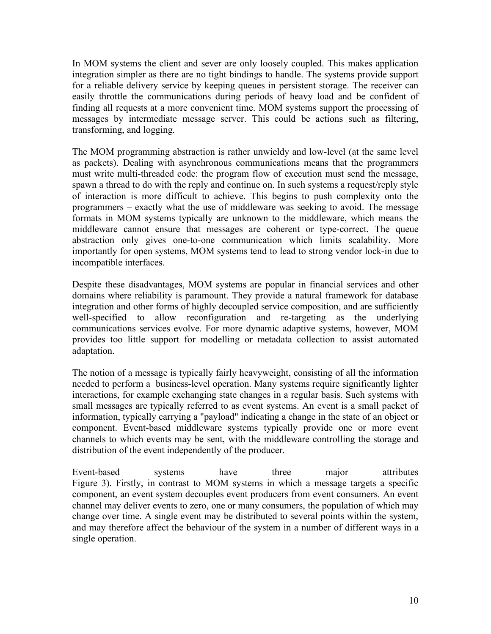In MOM systems the client and sever are only loosely coupled. This makes application integration simpler as there are no tight bindings to handle. The systems provide support for a reliable delivery service by keeping queues in persistent storage. The receiver can easily throttle the communications during periods of heavy load and be confident of finding all requests at a more convenient time. MOM systems support the processing of messages by intermediate message server. This could be actions such as filtering, transforming, and logging.

The MOM programming abstraction is rather unwieldy and low-level (at the same level as packets). Dealing with asynchronous communications means that the programmers must write multi-threaded code: the program flow of execution must send the message, spawn a thread to do with the reply and continue on. In such systems a request/reply style of interaction is more difficult to achieve. This begins to push complexity onto the programmers – exactly what the use of middleware was seeking to avoid. The message formats in MOM systems typically are unknown to the middleware, which means the middleware cannot ensure that messages are coherent or type-correct. The queue abstraction only gives one-to-one communication which limits scalability. More importantly for open systems, MOM systems tend to lead to strong vendor lock-in due to incompatible interfaces.

Despite these disadvantages, MOM systems are popular in financial services and other domains where reliability is paramount. They provide a natural framework for database integration and other forms of highly decoupled service composition, and are sufficiently well-specified to allow reconfiguration and re-targeting as the underlying communications services evolve. For more dynamic adaptive systems, however, MOM provides too little support for modelling or metadata collection to assist automated adaptation.

The notion of a message is typically fairly heavyweight, consisting of all the information needed to perform a business-level operation. Many systems require significantly lighter interactions, for example exchanging state changes in a regular basis. Such systems with small messages are typically referred to as event systems. An event is a small packet of information, typically carrying a "payload" indicating a change in the state of an object or component. Event-based middleware systems typically provide one or more event channels to which events may be sent, with the middleware controlling the storage and distribution of the event independently of the producer.

Event-based systems have three major attributes Figure 3). Firstly, in contrast to MOM systems in which a message targets a specific component, an event system decouples event producers from event consumers. An event channel may deliver events to zero, one or many consumers, the population of which may change over time. A single event may be distributed to several points within the system, and may therefore affect the behaviour of the system in a number of different ways in a single operation.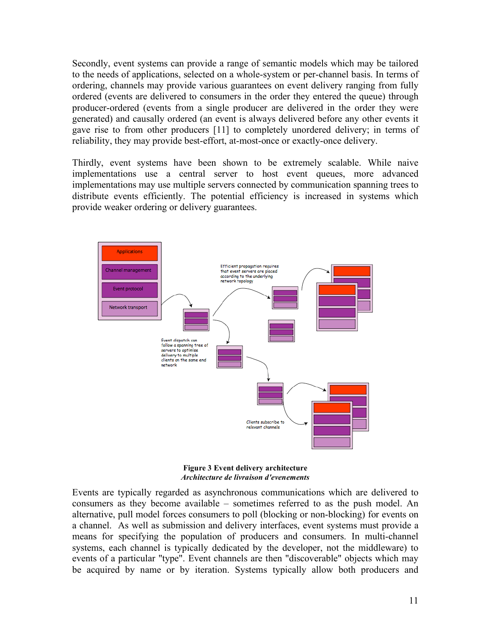Secondly, event systems can provide a range of semantic models which may be tailored to the needs of applications, selected on a whole-system or per-channel basis. In terms of ordering, channels may provide various guarantees on event delivery ranging from fully ordered (events are delivered to consumers in the order they entered the queue) through producer-ordered (events from a single producer are delivered in the order they were generated) and causally ordered (an event is always delivered before any other events it gave rise to from other producers [11] to completely unordered delivery; in terms of reliability, they may provide best-effort, at-most-once or exactly-once delivery.

Thirdly, event systems have been shown to be extremely scalable. While naive implementations use a central server to host event queues, more advanced implementations may use multiple servers connected by communication spanning trees to distribute events efficiently. The potential efficiency is increased in systems which provide weaker ordering or delivery guarantees.



**Figure 3 Event delivery architecture** *Architecture de livraison d'evenements*

Events are typically regarded as asynchronous communications which are delivered to consumers as they become available – sometimes referred to as the push model. An alternative, pull model forces consumers to poll (blocking or non-blocking) for events on a channel. As well as submission and delivery interfaces, event systems must provide a means for specifying the population of producers and consumers. In multi-channel systems, each channel is typically dedicated by the developer, not the middleware) to events of a particular "type". Event channels are then "discoverable" objects which may be acquired by name or by iteration. Systems typically allow both producers and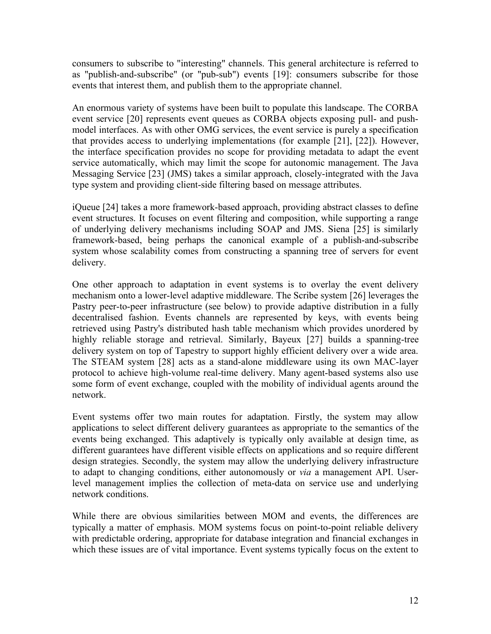consumers to subscribe to "interesting" channels. This general architecture is referred to as "publish-and-subscribe" (or "pub-sub") events [19]: consumers subscribe for those events that interest them, and publish them to the appropriate channel.

An enormous variety of systems have been built to populate this landscape. The CORBA event service [20] represents event queues as CORBA objects exposing pull- and pushmodel interfaces. As with other OMG services, the event service is purely a specification that provides access to underlying implementations (for example [21], [22]). However, the interface specification provides no scope for providing metadata to adapt the event service automatically, which may limit the scope for autonomic management. The Java Messaging Service [23] (JMS) takes a similar approach, closely-integrated with the Java type system and providing client-side filtering based on message attributes.

iQueue [24] takes a more framework-based approach, providing abstract classes to define event structures. It focuses on event filtering and composition, while supporting a range of underlying delivery mechanisms including SOAP and JMS. Siena [25] is similarly framework-based, being perhaps the canonical example of a publish-and-subscribe system whose scalability comes from constructing a spanning tree of servers for event delivery.

One other approach to adaptation in event systems is to overlay the event delivery mechanism onto a lower-level adaptive middleware. The Scribe system [26] leverages the Pastry peer-to-peer infrastructure (see below) to provide adaptive distribution in a fully decentralised fashion. Events channels are represented by keys, with events being retrieved using Pastry's distributed hash table mechanism which provides unordered by highly reliable storage and retrieval. Similarly, Bayeux [27] builds a spanning-tree delivery system on top of Tapestry to support highly efficient delivery over a wide area. The STEAM system [28] acts as a stand-alone middleware using its own MAC-layer protocol to achieve high-volume real-time delivery. Many agent-based systems also use some form of event exchange, coupled with the mobility of individual agents around the network.

Event systems offer two main routes for adaptation. Firstly, the system may allow applications to select different delivery guarantees as appropriate to the semantics of the events being exchanged. This adaptively is typically only available at design time, as different guarantees have different visible effects on applications and so require different design strategies. Secondly, the system may allow the underlying delivery infrastructure to adapt to changing conditions, either autonomously or *via* a management API. Userlevel management implies the collection of meta-data on service use and underlying network conditions.

While there are obvious similarities between MOM and events, the differences are typically a matter of emphasis. MOM systems focus on point-to-point reliable delivery with predictable ordering, appropriate for database integration and financial exchanges in which these issues are of vital importance. Event systems typically focus on the extent to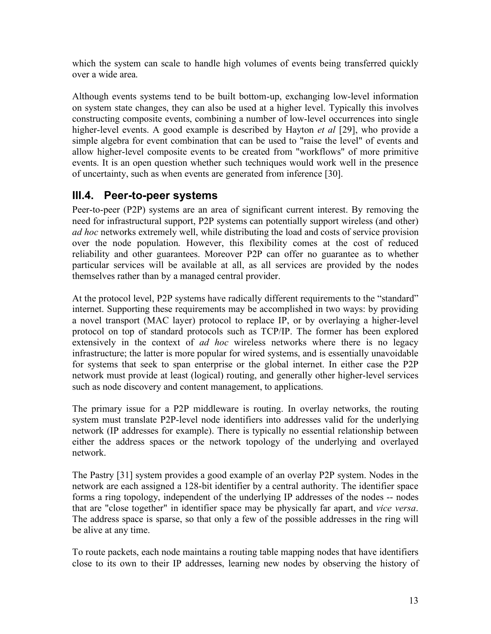which the system can scale to handle high volumes of events being transferred quickly over a wide area.

Although events systems tend to be built bottom-up, exchanging low-level information on system state changes, they can also be used at a higher level. Typically this involves constructing composite events, combining a number of low-level occurrences into single higher-level events. A good example is described by Hayton *et al* [29], who provide a simple algebra for event combination that can be used to "raise the level" of events and allow higher-level composite events to be created from "workflows" of more primitive events. It is an open question whether such techniques would work well in the presence of uncertainty, such as when events are generated from inference [30].

### **III.4. Peer-to-peer systems**

Peer-to-peer (P2P) systems are an area of significant current interest. By removing the need for infrastructural support, P2P systems can potentially support wireless (and other) *ad hoc* networks extremely well, while distributing the load and costs of service provision over the node population. However, this flexibility comes at the cost of reduced reliability and other guarantees. Moreover P2P can offer no guarantee as to whether particular services will be available at all, as all services are provided by the nodes themselves rather than by a managed central provider.

At the protocol level, P2P systems have radically different requirements to the "standard" internet. Supporting these requirements may be accomplished in two ways: by providing a novel transport (MAC layer) protocol to replace IP, or by overlaying a higher-level protocol on top of standard protocols such as TCP/IP. The former has been explored extensively in the context of *ad hoc* wireless networks where there is no legacy infrastructure; the latter is more popular for wired systems, and is essentially unavoidable for systems that seek to span enterprise or the global internet. In either case the P2P network must provide at least (logical) routing, and generally other higher-level services such as node discovery and content management, to applications.

The primary issue for a P2P middleware is routing. In overlay networks, the routing system must translate P2P-level node identifiers into addresses valid for the underlying network (IP addresses for example). There is typically no essential relationship between either the address spaces or the network topology of the underlying and overlayed network.

The Pastry [31] system provides a good example of an overlay P2P system. Nodes in the network are each assigned a 128-bit identifier by a central authority. The identifier space forms a ring topology, independent of the underlying IP addresses of the nodes -- nodes that are "close together" in identifier space may be physically far apart, and *vice versa*. The address space is sparse, so that only a few of the possible addresses in the ring will be alive at any time.

To route packets, each node maintains a routing table mapping nodes that have identifiers close to its own to their IP addresses, learning new nodes by observing the history of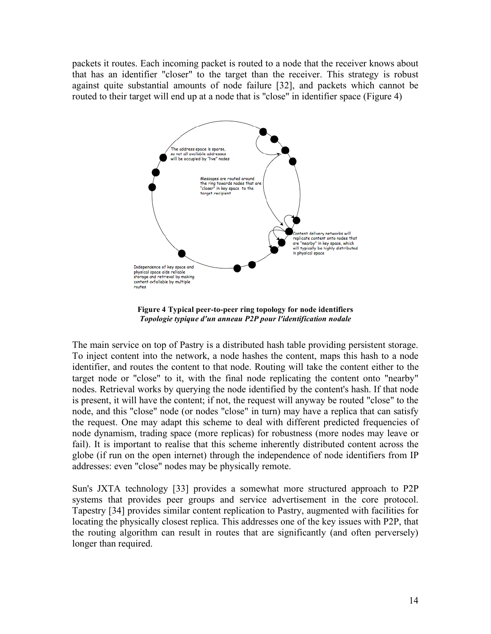packets it routes. Each incoming packet is routed to a node that the receiver knows about that has an identifier "closer" to the target than the receiver. This strategy is robust against quite substantial amounts of node failure [32], and packets which cannot be routed to their target will end up at a node that is "close" in identifier space (Figure 4)



**Figure 4 Typical peer-to-peer ring topology for node identifiers** *Topologie typique d'un anneau P2P pour l'identification nodale*

The main service on top of Pastry is a distributed hash table providing persistent storage. To inject content into the network, a node hashes the content, maps this hash to a node identifier, and routes the content to that node. Routing will take the content either to the target node or "close" to it, with the final node replicating the content onto "nearby" nodes. Retrieval works by querying the node identified by the content's hash. If that node is present, it will have the content; if not, the request will anyway be routed "close" to the node, and this "close" node (or nodes "close" in turn) may have a replica that can satisfy the request. One may adapt this scheme to deal with different predicted frequencies of node dynamism, trading space (more replicas) for robustness (more nodes may leave or fail). It is important to realise that this scheme inherently distributed content across the globe (if run on the open internet) through the independence of node identifiers from IP addresses: even "close" nodes may be physically remote.

Sun's JXTA technology [33] provides a somewhat more structured approach to P2P systems that provides peer groups and service advertisement in the core protocol. Tapestry [34] provides similar content replication to Pastry, augmented with facilities for locating the physically closest replica. This addresses one of the key issues with P2P, that the routing algorithm can result in routes that are significantly (and often perversely) longer than required.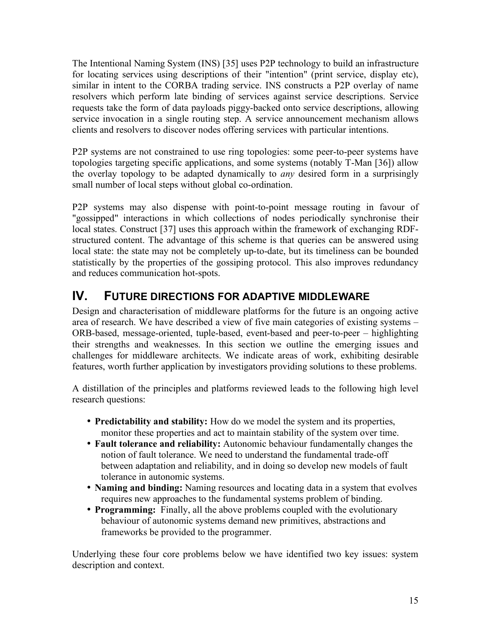The Intentional Naming System (INS) [35] uses P2P technology to build an infrastructure for locating services using descriptions of their "intention" (print service, display etc), similar in intent to the CORBA trading service. INS constructs a P2P overlay of name resolvers which perform late binding of services against service descriptions. Service requests take the form of data payloads piggy-backed onto service descriptions, allowing service invocation in a single routing step. A service announcement mechanism allows clients and resolvers to discover nodes offering services with particular intentions.

P2P systems are not constrained to use ring topologies: some peer-to-peer systems have topologies targeting specific applications, and some systems (notably T-Man [36]) allow the overlay topology to be adapted dynamically to *any* desired form in a surprisingly small number of local steps without global co-ordination.

P2P systems may also dispense with point-to-point message routing in favour of "gossipped" interactions in which collections of nodes periodically synchronise their local states. Construct [37] uses this approach within the framework of exchanging RDFstructured content. The advantage of this scheme is that queries can be answered using local state: the state may not be completely up-to-date, but its timeliness can be bounded statistically by the properties of the gossiping protocol. This also improves redundancy and reduces communication hot-spots.

# **IV. FUTURE DIRECTIONS FOR ADAPTIVE MIDDLEWARE**

Design and characterisation of middleware platforms for the future is an ongoing active area of research. We have described a view of five main categories of existing systems – ORB-based, message-oriented, tuple-based, event-based and peer-to-peer – highlighting their strengths and weaknesses. In this section we outline the emerging issues and challenges for middleware architects. We indicate areas of work, exhibiting desirable features, worth further application by investigators providing solutions to these problems.

A distillation of the principles and platforms reviewed leads to the following high level research questions:

- **Predictability and stability:** How do we model the system and its properties, monitor these properties and act to maintain stability of the system over time.
- **Fault tolerance and reliability:** Autonomic behaviour fundamentally changes the notion of fault tolerance. We need to understand the fundamental trade-off between adaptation and reliability, and in doing so develop new models of fault tolerance in autonomic systems.
- **Naming and binding:** Naming resources and locating data in a system that evolves requires new approaches to the fundamental systems problem of binding.
- **Programming:** Finally, all the above problems coupled with the evolutionary behaviour of autonomic systems demand new primitives, abstractions and frameworks be provided to the programmer.

Underlying these four core problems below we have identified two key issues: system description and context.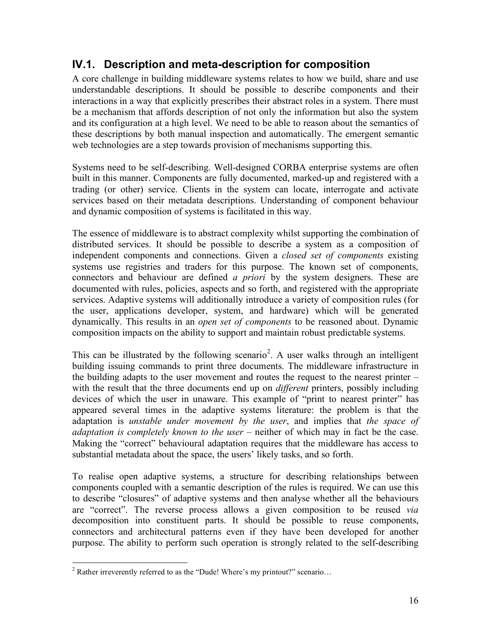# **IV.1. Description and meta-description for composition**

A core challenge in building middleware systems relates to how we build, share and use understandable descriptions. It should be possible to describe components and their interactions in a way that explicitly prescribes their abstract roles in a system. There must be a mechanism that affords description of not only the information but also the system and its configuration at a high level. We need to be able to reason about the semantics of these descriptions by both manual inspection and automatically. The emergent semantic web technologies are a step towards provision of mechanisms supporting this.

Systems need to be self-describing. Well-designed CORBA enterprise systems are often built in this manner. Components are fully documented, marked-up and registered with a trading (or other) service. Clients in the system can locate, interrogate and activate services based on their metadata descriptions. Understanding of component behaviour and dynamic composition of systems is facilitated in this way.

The essence of middleware is to abstract complexity whilst supporting the combination of distributed services. It should be possible to describe a system as a composition of independent components and connections. Given a *closed set of components* existing systems use registries and traders for this purpose. The known set of components, connectors and behaviour are defined *a priori* by the system designers. These are documented with rules, policies, aspects and so forth, and registered with the appropriate services. Adaptive systems will additionally introduce a variety of composition rules (for the user, applications developer, system, and hardware) which will be generated dynamically. This results in an *open set of components* to be reasoned about. Dynamic composition impacts on the ability to support and maintain robust predictable systems.

This can be illustrated by the following scenario<sup>2</sup>. A user walks through an intelligent building issuing commands to print three documents. The middleware infrastructure in the building adapts to the user movement and routes the request to the nearest printer – with the result that the three documents end up on *different* printers, possibly including devices of which the user in unaware. This example of "print to nearest printer" has appeared several times in the adaptive systems literature: the problem is that the adaptation is *unstable under movement by the user*, and implies that *the space of adaptation is completely known to the user* – neither of which may in fact be the case. Making the "correct" behavioural adaptation requires that the middleware has access to substantial metadata about the space, the users' likely tasks, and so forth.

To realise open adaptive systems, a structure for describing relationships between components coupled with a semantic description of the rules is required. We can use this to describe "closures" of adaptive systems and then analyse whether all the behaviours are "correct". The reverse process allows a given composition to be reused *via* decomposition into constituent parts. It should be possible to reuse components, connectors and architectural patterns even if they have been developed for another purpose. The ability to perform such operation is strongly related to the self-describing

<sup>&</sup>lt;sup>2</sup> Rather irreverently referred to as the "Dude! Where's my printout?" scenario...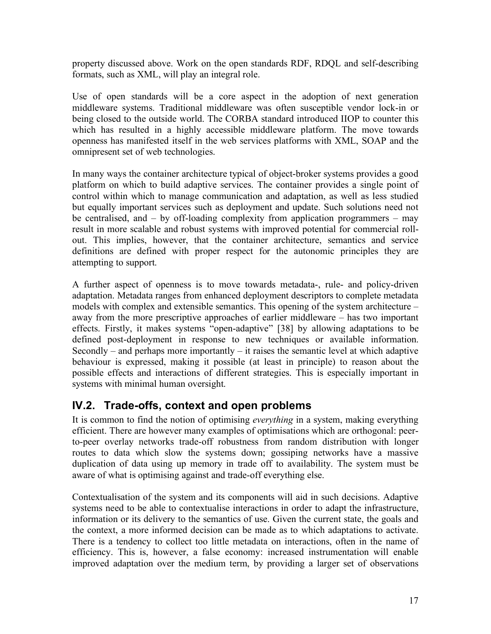property discussed above. Work on the open standards RDF, RDQL and self-describing formats, such as XML, will play an integral role.

Use of open standards will be a core aspect in the adoption of next generation middleware systems. Traditional middleware was often susceptible vendor lock-in or being closed to the outside world. The CORBA standard introduced IIOP to counter this which has resulted in a highly accessible middleware platform. The move towards openness has manifested itself in the web services platforms with XML, SOAP and the omnipresent set of web technologies.

In many ways the container architecture typical of object-broker systems provides a good platform on which to build adaptive services. The container provides a single point of control within which to manage communication and adaptation, as well as less studied but equally important services such as deployment and update. Such solutions need not be centralised, and – by off-loading complexity from application programmers – may result in more scalable and robust systems with improved potential for commercial rollout. This implies, however, that the container architecture, semantics and service definitions are defined with proper respect for the autonomic principles they are attempting to support.

A further aspect of openness is to move towards metadata-, rule- and policy-driven adaptation. Metadata ranges from enhanced deployment descriptors to complete metadata models with complex and extensible semantics. This opening of the system architecture – away from the more prescriptive approaches of earlier middleware – has two important effects. Firstly, it makes systems "open-adaptive" [38] by allowing adaptations to be defined post-deployment in response to new techniques or available information. Secondly – and perhaps more importantly – it raises the semantic level at which adaptive behaviour is expressed, making it possible (at least in principle) to reason about the possible effects and interactions of different strategies. This is especially important in systems with minimal human oversight.

# **IV.2. Trade-offs, context and open problems**

It is common to find the notion of optimising *everything* in a system, making everything efficient. There are however many examples of optimisations which are orthogonal: peerto-peer overlay networks trade-off robustness from random distribution with longer routes to data which slow the systems down; gossiping networks have a massive duplication of data using up memory in trade off to availability. The system must be aware of what is optimising against and trade-off everything else.

Contextualisation of the system and its components will aid in such decisions. Adaptive systems need to be able to contextualise interactions in order to adapt the infrastructure, information or its delivery to the semantics of use. Given the current state, the goals and the context, a more informed decision can be made as to which adaptations to activate. There is a tendency to collect too little metadata on interactions, often in the name of efficiency. This is, however, a false economy: increased instrumentation will enable improved adaptation over the medium term, by providing a larger set of observations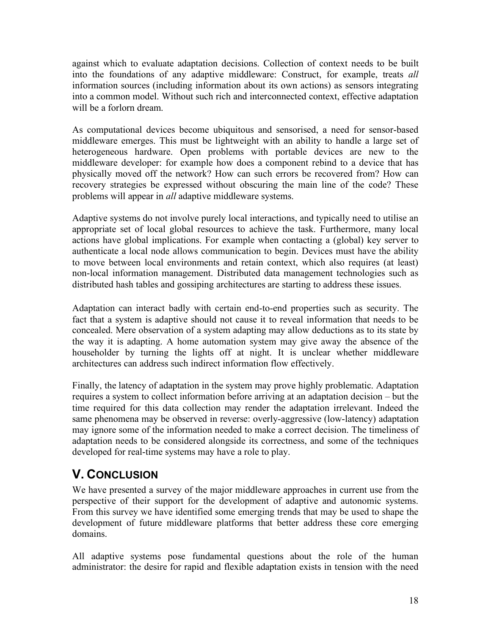against which to evaluate adaptation decisions. Collection of context needs to be built into the foundations of any adaptive middleware: Construct, for example, treats *all* information sources (including information about its own actions) as sensors integrating into a common model. Without such rich and interconnected context, effective adaptation will be a forlorn dream.

As computational devices become ubiquitous and sensorised, a need for sensor-based middleware emerges. This must be lightweight with an ability to handle a large set of heterogeneous hardware. Open problems with portable devices are new to the middleware developer: for example how does a component rebind to a device that has physically moved off the network? How can such errors be recovered from? How can recovery strategies be expressed without obscuring the main line of the code? These problems will appear in *all* adaptive middleware systems.

Adaptive systems do not involve purely local interactions, and typically need to utilise an appropriate set of local global resources to achieve the task. Furthermore, many local actions have global implications. For example when contacting a (global) key server to authenticate a local node allows communication to begin. Devices must have the ability to move between local environments and retain context, which also requires (at least) non-local information management. Distributed data management technologies such as distributed hash tables and gossiping architectures are starting to address these issues.

Adaptation can interact badly with certain end-to-end properties such as security. The fact that a system is adaptive should not cause it to reveal information that needs to be concealed. Mere observation of a system adapting may allow deductions as to its state by the way it is adapting. A home automation system may give away the absence of the householder by turning the lights off at night. It is unclear whether middleware architectures can address such indirect information flow effectively.

Finally, the latency of adaptation in the system may prove highly problematic. Adaptation requires a system to collect information before arriving at an adaptation decision – but the time required for this data collection may render the adaptation irrelevant. Indeed the same phenomena may be observed in reverse: overly-aggressive (low-latency) adaptation may ignore some of the information needed to make a correct decision. The timeliness of adaptation needs to be considered alongside its correctness, and some of the techniques developed for real-time systems may have a role to play.

# **V. CONCLUSION**

We have presented a survey of the major middleware approaches in current use from the perspective of their support for the development of adaptive and autonomic systems. From this survey we have identified some emerging trends that may be used to shape the development of future middleware platforms that better address these core emerging domains.

All adaptive systems pose fundamental questions about the role of the human administrator: the desire for rapid and flexible adaptation exists in tension with the need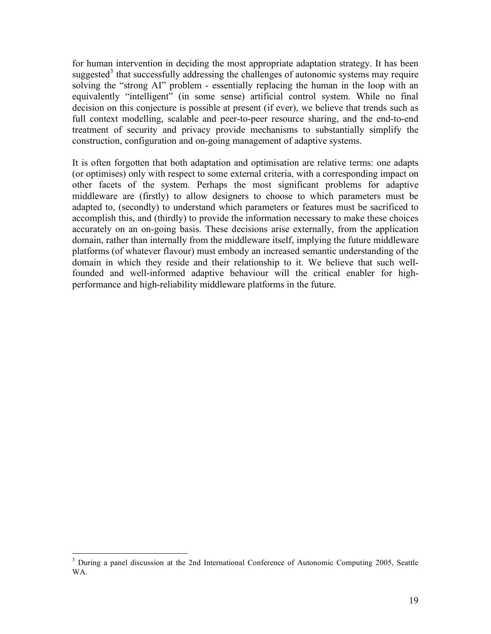for human intervention in deciding the most appropriate adaptation strategy. It has been suggested<sup>3</sup> that successfully addressing the challenges of autonomic systems may require solving the "strong AI" problem - essentially replacing the human in the loop with an equivalently "intelligent" (in some sense) artificial control system. While no final decision on this conjecture is possible at present (if ever), we believe that trends such as full context modelling, scalable and peer-to-peer resource sharing, and the end-to-end treatment of security and privacy provide mechanisms to substantially simplify the construction, configuration and on-going management of adaptive systems.

It is often forgotten that both adaptation and optimisation are relative terms: one adapts (or optimises) only with respect to some external criteria, with a corresponding impact on other facets of the system. Perhaps the most significant problems for adaptive middleware are (firstly) to allow designers to choose to which parameters must be adapted to, (secondly) to understand which parameters or features must be sacrificed to accomplish this, and (thirdly) to provide the information necessary to make these choices accurately on an on-going basis. These decisions arise externally, from the application domain, rather than internally from the middleware itself, implying the future middleware platforms (of whatever flavour) must embody an increased semantic understanding of the domain in which they reside and their relationship to it. We believe that such wellfounded and well-informed adaptive behaviour will the critical enabler for highperformance and high-reliability middleware platforms in the future.

<sup>&</sup>lt;sup>3</sup> During a panel discussion at the 2nd International Conference of Autonomic Computing 2005, Seattle WA.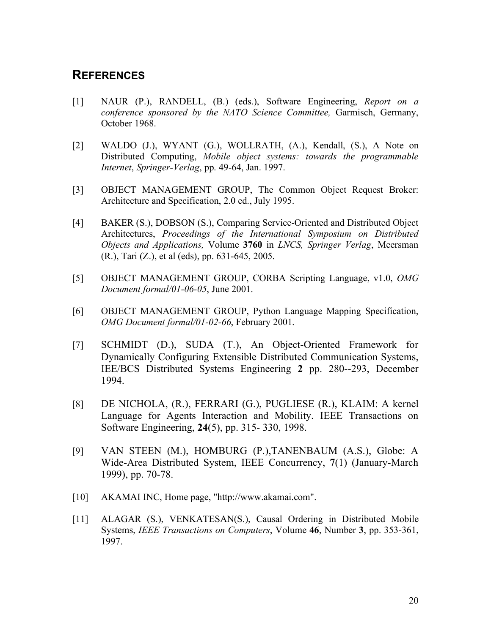### **REFERENCES**

- [1] NAUR (P.), RANDELL, (B.) (eds.), Software Engineering, *Report on a conference sponsored by the NATO Science Committee,* Garmisch, Germany, October 1968.
- [2] WALDO (J.), WYANT (G.), WOLLRATH, (A.), Kendall, (S.), A Note on Distributed Computing, *Mobile object systems: towards the programmable Internet*, *Springer-Verlag*, pp. 49-64, Jan. 1997.
- [3] OBJECT MANAGEMENT GROUP, The Common Object Request Broker: Architecture and Specification, 2.0 ed., July 1995.
- [4] BAKER (S.), DOBSON (S.), Comparing Service-Oriented and Distributed Object Architectures, *Proceedings of the International Symposium on Distributed Objects and Applications,* Volume **3760** in *LNCS, Springer Verlag*, Meersman (R.), Tari (Z.), et al (eds), pp. 631-645, 2005.
- [5] OBJECT MANAGEMENT GROUP, CORBA Scripting Language, v1.0, *OMG Document formal/01-06-05*, June 2001.
- [6] OBJECT MANAGEMENT GROUP, Python Language Mapping Specification, *OMG Document formal/01-02-66*, February 2001.
- [7] SCHMIDT (D.), SUDA (T.), An Object-Oriented Framework for Dynamically Configuring Extensible Distributed Communication Systems, IEE/BCS Distributed Systems Engineering **2** pp. 280--293, December 1994.
- [8] DE NICHOLA, (R.), FERRARI (G.), PUGLIESE (R.), KLAIM: A kernel Language for Agents Interaction and Mobility. IEEE Transactions on Software Engineering, **24**(5), pp. 315- 330, 1998.
- [9] VAN STEEN (M.), HOMBURG (P.),TANENBAUM (A.S.), Globe: A Wide-Area Distributed System, IEEE Concurrency, **7**(1) (January-March 1999), pp. 70-78.
- [10] AKAMAI INC, Home page, "http://www.akamai.com".
- [11] ALAGAR (S.), VENKATESAN(S.), Causal Ordering in Distributed Mobile Systems, *IEEE Transactions on Computers*, Volume **46**, Number **3**, pp. 353-361, 1997.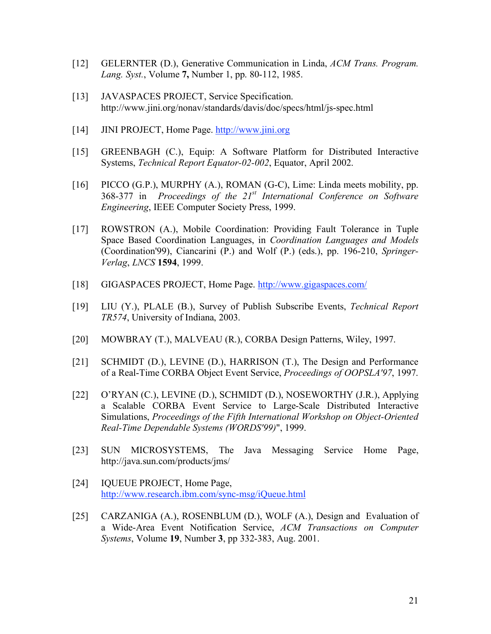- [12] GELERNTER (D.), Generative Communication in Linda, *ACM Trans. Program. Lang. Syst.*, Volume **7,** Number 1, pp. 80-112, 1985.
- [13] JAVASPACES PROJECT, Service Specification. http://www.jini.org/nonav/standards/davis/doc/specs/html/js-spec.html
- [14] JINI PROJECT, Home Page. http://www.jini.org
- [15] GREENBAGH (C.), Equip: A Software Platform for Distributed Interactive Systems, *Technical Report Equator-02-002*, Equator, April 2002.
- [16] PICCO (G.P.), MURPHY (A.), ROMAN (G-C), Lime: Linda meets mobility, pp. 368-377 in *Proceedings of the 21st International Conference on Software Engineering*, IEEE Computer Society Press, 1999.
- [17] ROWSTRON (A.), Mobile Coordination: Providing Fault Tolerance in Tuple Space Based Coordination Languages, in *Coordination Languages and Models* (Coordination'99), Ciancarini (P.) and Wolf (P.) (eds.), pp. 196-210, *Springer-Verlag*, *LNCS* **1594**, 1999.
- [18] GIGASPACES PROJECT, Home Page. http://www.gigaspaces.com/
- [19] LIU (Y.), PLALE (B.), Survey of Publish Subscribe Events, *Technical Report TR574*, University of Indiana, 2003.
- [20] MOWBRAY (T.), MALVEAU (R.), CORBA Design Patterns, Wiley, 1997.
- [21] SCHMIDT (D.), LEVINE (D.), HARRISON (T.), The Design and Performance of a Real-Time CORBA Object Event Service, *Proceedings of OOPSLA'97*, 1997.
- [22] O'RYAN (C.), LEVINE (D.), SCHMIDT (D.), NOSEWORTHY (J.R.), Applying a Scalable CORBA Event Service to Large-Scale Distributed Interactive Simulations, *Proceedings of the Fifth International Workshop on Object-Oriented Real-Time Dependable Systems (WORDS'99)*", 1999.
- [23] SUN MICROSYSTEMS, The Java Messaging Service Home Page, http://java.sun.com/products/jms/
- [24] IQUEUE PROJECT, Home Page, http://www.research.ibm.com/sync-msg/iQueue.html
- [25] CARZANIGA (A.), ROSENBLUM (D.), WOLF (A.), Design and Evaluation of a Wide-Area Event Notification Service, *ACM Transactions on Computer Systems*, Volume **19**, Number **3**, pp 332-383, Aug. 2001.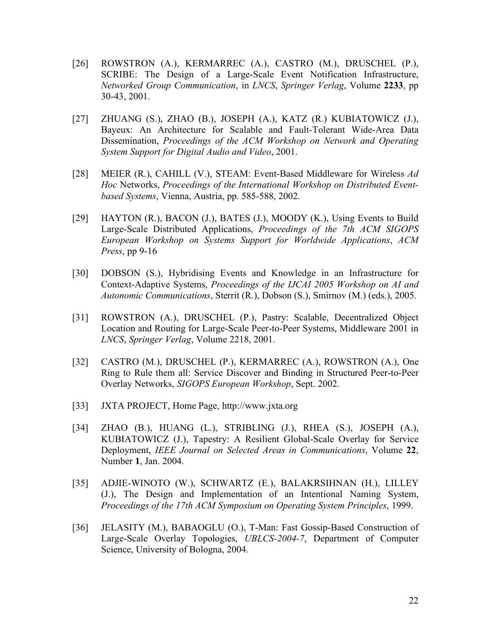- [26] ROWSTRON (A.), KERMARREC (A.), CASTRO (M.), DRUSCHEL (P.), SCRIBE: The Design of a Large-Scale Event Notification Infrastructure, *Networked Group Communication*, in *LNCS*, *Springer Verlag*, Volume **2233**, pp 30-43, 2001.
- [27] ZHUANG (S.), ZHAO (B.), JOSEPH (A.), KATZ (R.) KUBIATOWICZ (J.), Bayeux: An Architecture for Scalable and Fault-Tolerant Wide-Area Data Dissemination, *Proceedings of the ACM Workshop on Network and Operating System Support for Digital Audio and Video*, 2001.
- [28] MEIER (R.), CAHILL (V.), STEAM: Event-Based Middleware for Wireless *Ad Hoc* Networks, *Proceedings of the International Workshop on Distributed Eventbased Systems*, Vienna, Austria, pp. 585-588, 2002.
- [29] HAYTON (R.), BACON (J.), BATES (J.), MOODY (K.), Using Events to Build Large-Scale Distributed Applications, *Proceedings of the 7th ACM SIGOPS European Workshop on Systems Support for Worldwide Applications*, *ACM Press*, pp 9-16
- [30] DOBSON (S.), Hybridising Events and Knowledge in an Infrastructure for Context-Adaptive Systems, *Proceedings of the IJCAI 2005 Workshop on AI and Autonomic Communications*, Sterrit (R.), Dobson (S.), Smirnov (M.) (eds.), 2005.
- [31] ROWSTRON (A.), DRUSCHEL (P.), Pastry: Scalable, Decentralized Object Location and Routing for Large-Scale Peer-to-Peer Systems, Middleware 2001 in *LNCS*, *Springer Verlag*, Volume 2218, 2001.
- [32] CASTRO (M.), DRUSCHEL (P.), KERMARREC (A.), ROWSTRON (A.), One Ring to Rule them all: Service Discover and Binding in Structured Peer-to-Peer Overlay Networks, *SIGOPS European Workshop*, Sept. 2002.
- [33] JXTA PROJECT, Home Page, http://www.jxta.org
- [34] ZHAO (B.), HUANG (L.), STRIBLING (J.), RHEA (S.), JOSEPH (A.), KUBIATOWICZ (J.), Tapestry: A Resilient Global-Scale Overlay for Service Deployment, *IEEE Journal on Selected Areas in Communications*, Volume **22**, Number **1**, Jan. 2004.
- [35] ADJIE-WINOTO (W.), SCHWARTZ (E.), BALAKRSIHNAN (H.), LILLEY (J.), The Design and Implementation of an Intentional Naming System, *Proceedings of the 17th ACM Symposium on Operating System Principles*, 1999.
- [36] JELASITY (M.), BABAOGLU (O.), T-Man: Fast Gossip-Based Construction of Large-Scale Overlay Topologies, *UBLCS-2004-7*, Department of Computer Science, University of Bologna, 2004.